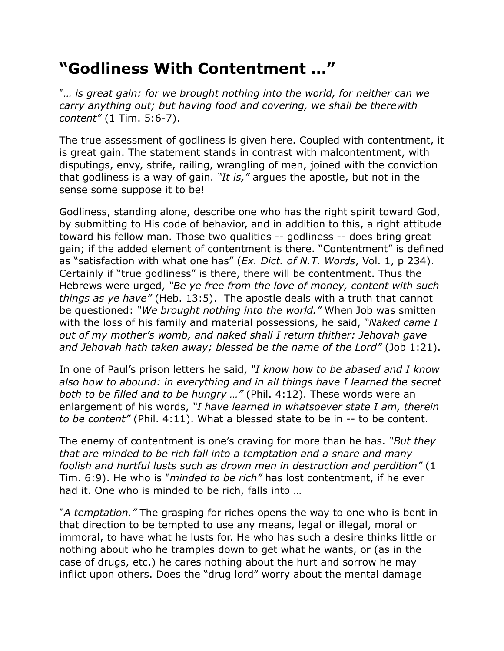## **"Godliness With Contentment …"**

*"… is great gain: for we brought nothing into the world, for neither can we carry anything out; but having food and covering, we shall be therewith content"* (1 Tim. 5:6-7).

The true assessment of godliness is given here. Coupled with contentment, it is great gain. The statement stands in contrast with malcontentment, with disputings, envy, strife, railing, wrangling of men, joined with the conviction that godliness is a way of gain. *"It is,"* argues the apostle, but not in the sense some suppose it to be!

Godliness, standing alone, describe one who has the right spirit toward God, by submitting to His code of behavior, and in addition to this, a right attitude toward his fellow man. Those two qualities -- godliness -- does bring great gain; if the added element of contentment is there. "Contentment" is defined as "satisfaction with what one has" (*Ex. Dict. of N.T. Words*, Vol. 1, p 234). Certainly if "true godliness" is there, there will be contentment. Thus the Hebrews were urged, *"Be ye free from the love of money, content with such things as ye have"* (Heb. 13:5). The apostle deals with a truth that cannot be questioned: *"We brought nothing into the world."* When Job was smitten with the loss of his family and material possessions, he said, *"Naked came I out of my mother's womb, and naked shall I return thither: Jehovah gave and Jehovah hath taken away; blessed be the name of the Lord"* (Job 1:21).

In one of Paul's prison letters he said, *"I know how to be abased and I know also how to abound: in everything and in all things have I learned the secret both to be filled and to be hungry …"* (Phil. 4:12). These words were an enlargement of his words, *"I have learned in whatsoever state I am, therein to be content"* (Phil. 4:11). What a blessed state to be in -- to be content.

The enemy of contentment is one's craving for more than he has. *"But they that are minded to be rich fall into a temptation and a snare and many foolish and hurtful lusts such as drown men in destruction and perdition"* (1 Tim. 6:9). He who is *"minded to be rich"* has lost contentment, if he ever had it. One who is minded to be rich, falls into …

*"A temptation."* The grasping for riches opens the way to one who is bent in that direction to be tempted to use any means, legal or illegal, moral or immoral, to have what he lusts for. He who has such a desire thinks little or nothing about who he tramples down to get what he wants, or (as in the case of drugs, etc.) he cares nothing about the hurt and sorrow he may inflict upon others. Does the "drug lord" worry about the mental damage